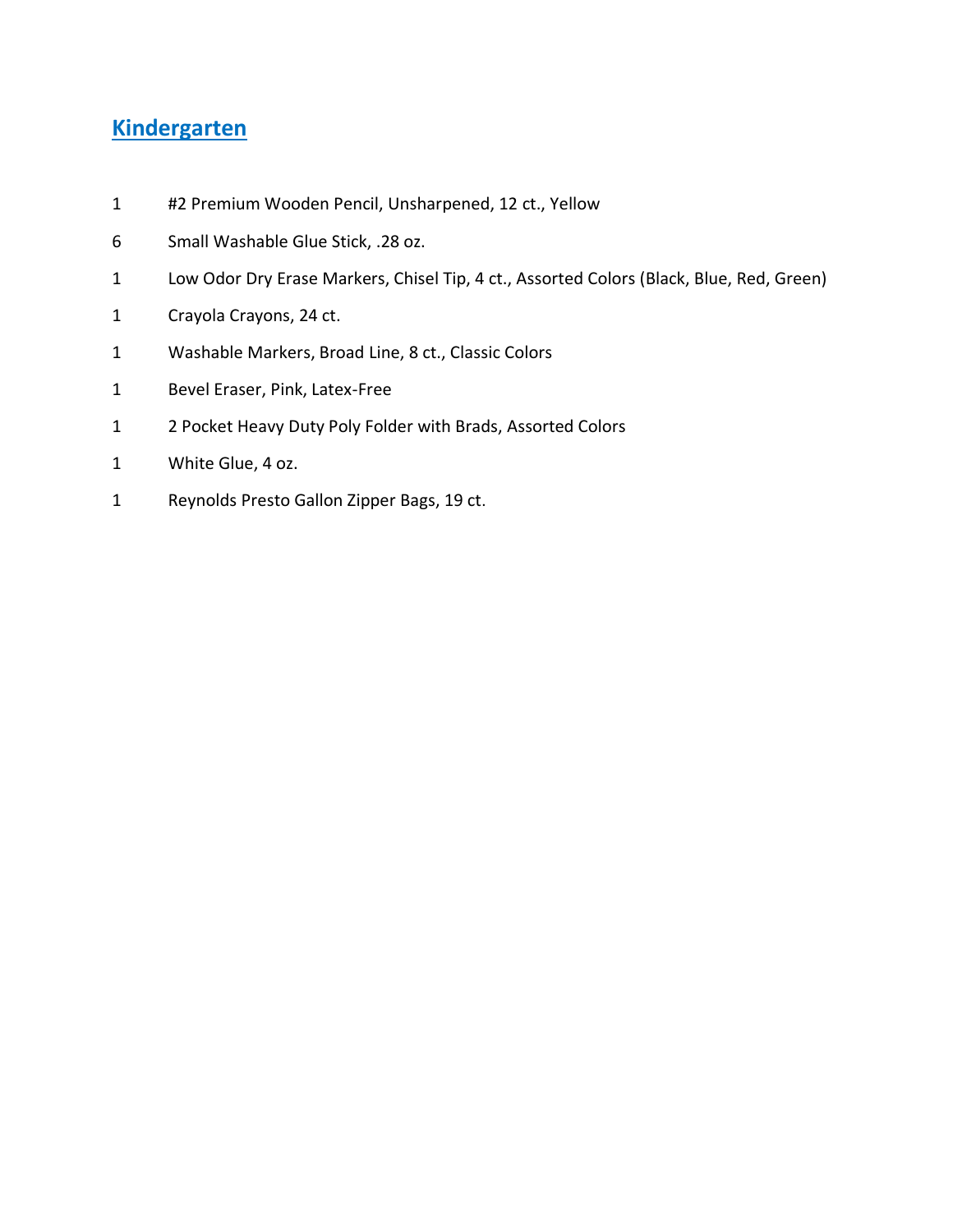# **Kindergarten**

- #2 Premium Wooden Pencil, Unsharpened, 12 ct., Yellow
- Small Washable Glue Stick, .28 oz.
- Low Odor Dry Erase Markers, Chisel Tip, 4 ct., Assorted Colors (Black, Blue, Red, Green)
- Crayola Crayons, 24 ct.
- Washable Markers, Broad Line, 8 ct., Classic Colors
- Bevel Eraser, Pink, Latex-Free
- 2 Pocket Heavy Duty Poly Folder with Brads, Assorted Colors
- White Glue, 4 oz.
- Reynolds Presto Gallon Zipper Bags, 19 ct.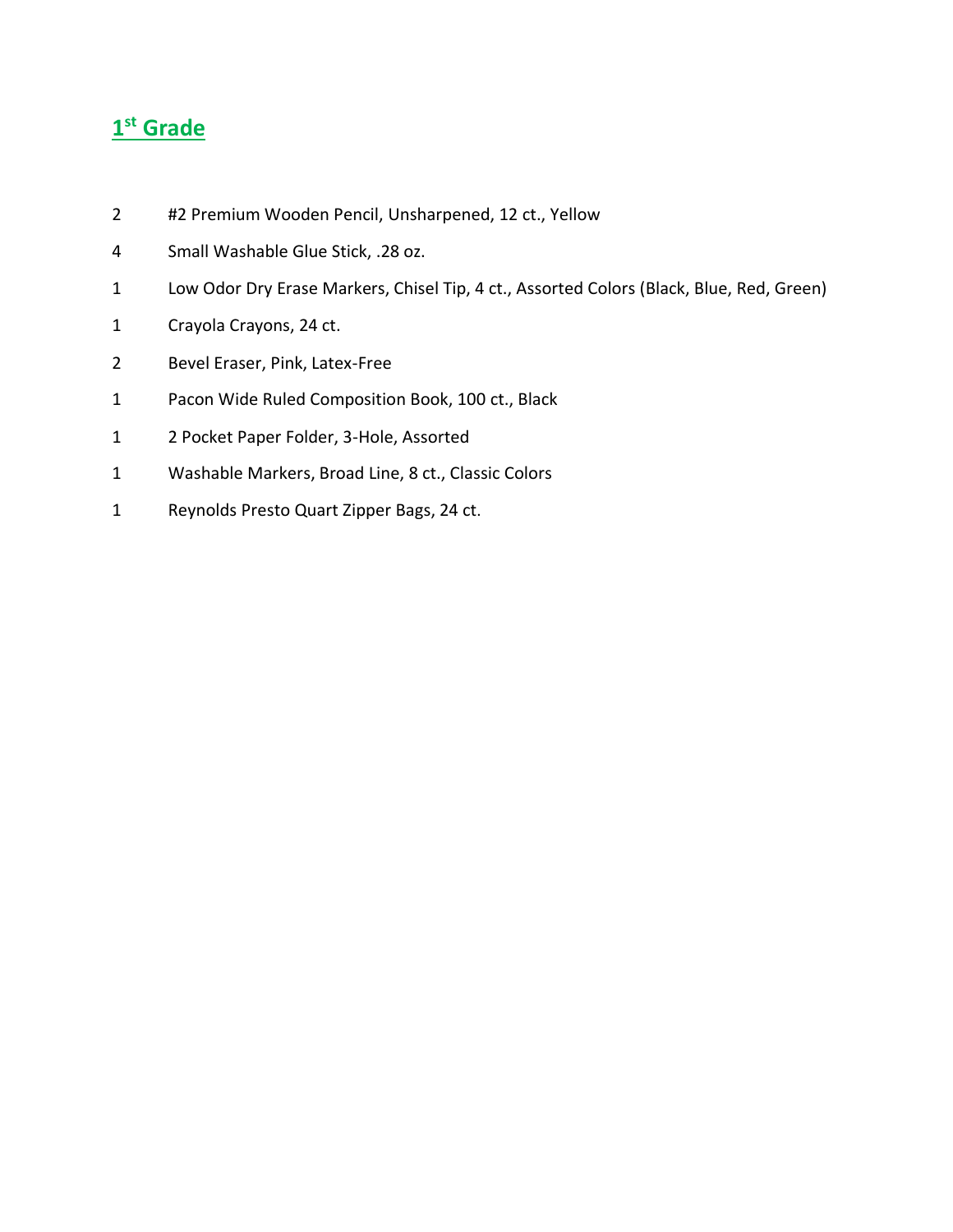#### **st Grade**

- 2 #2 Premium Wooden Pencil, Unsharpened, 12 ct., Yellow
- Small Washable Glue Stick, .28 oz.
- Low Odor Dry Erase Markers, Chisel Tip, 4 ct., Assorted Colors (Black, Blue, Red, Green)
- Crayola Crayons, 24 ct.
- Bevel Eraser, Pink, Latex-Free
- Pacon Wide Ruled Composition Book, 100 ct., Black
- 2 Pocket Paper Folder, 3-Hole, Assorted
- Washable Markers, Broad Line, 8 ct., Classic Colors
- Reynolds Presto Quart Zipper Bags, 24 ct.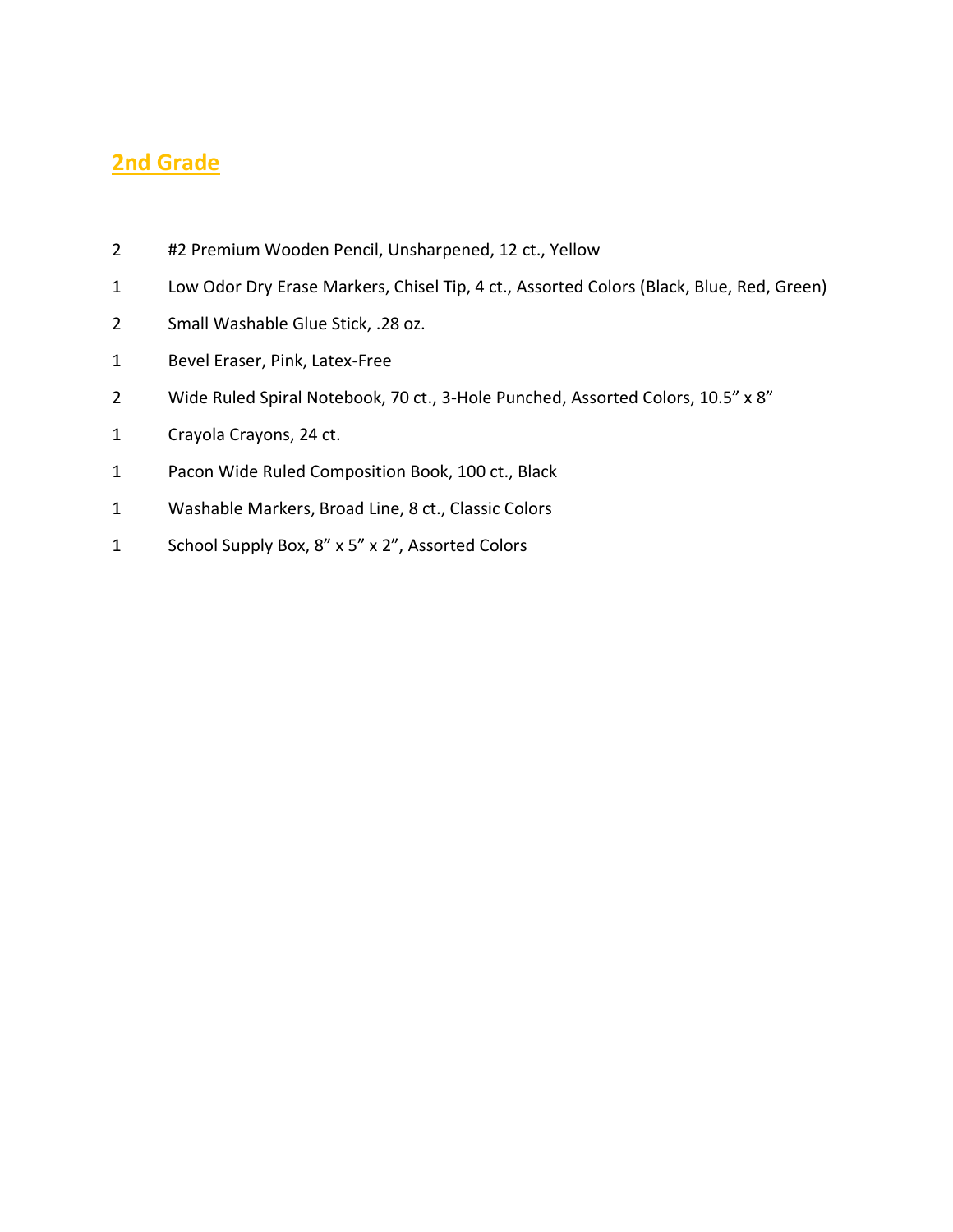#### **2nd Grade**

- 2 #2 Premium Wooden Pencil, Unsharpened, 12 ct., Yellow
- Low Odor Dry Erase Markers, Chisel Tip, 4 ct., Assorted Colors (Black, Blue, Red, Green)
- Small Washable Glue Stick, .28 oz.
- Bevel Eraser, Pink, Latex-Free
- Wide Ruled Spiral Notebook, 70 ct., 3-Hole Punched, Assorted Colors, 10.5" x 8"
- Crayola Crayons, 24 ct.
- Pacon Wide Ruled Composition Book, 100 ct., Black
- Washable Markers, Broad Line, 8 ct., Classic Colors
- School Supply Box, 8" x 5" x 2", Assorted Colors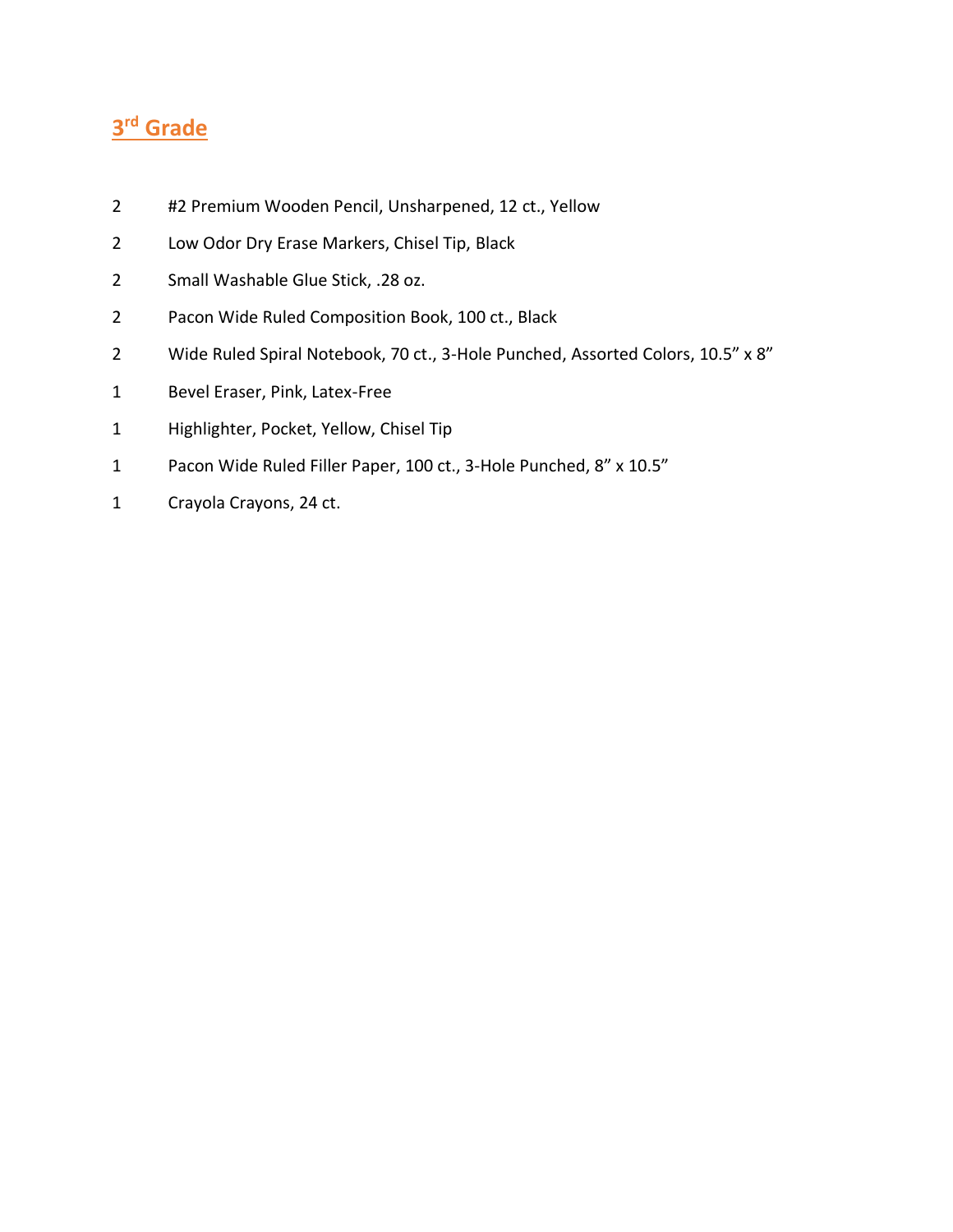# **rd Grade**

- 2 #2 Premium Wooden Pencil, Unsharpened, 12 ct., Yellow
- Low Odor Dry Erase Markers, Chisel Tip, Black
- Small Washable Glue Stick, .28 oz.
- Pacon Wide Ruled Composition Book, 100 ct., Black
- Wide Ruled Spiral Notebook, 70 ct., 3-Hole Punched, Assorted Colors, 10.5" x 8"
- Bevel Eraser, Pink, Latex-Free
- Highlighter, Pocket, Yellow, Chisel Tip
- Pacon Wide Ruled Filler Paper, 100 ct., 3-Hole Punched, 8" x 10.5"
- Crayola Crayons, 24 ct.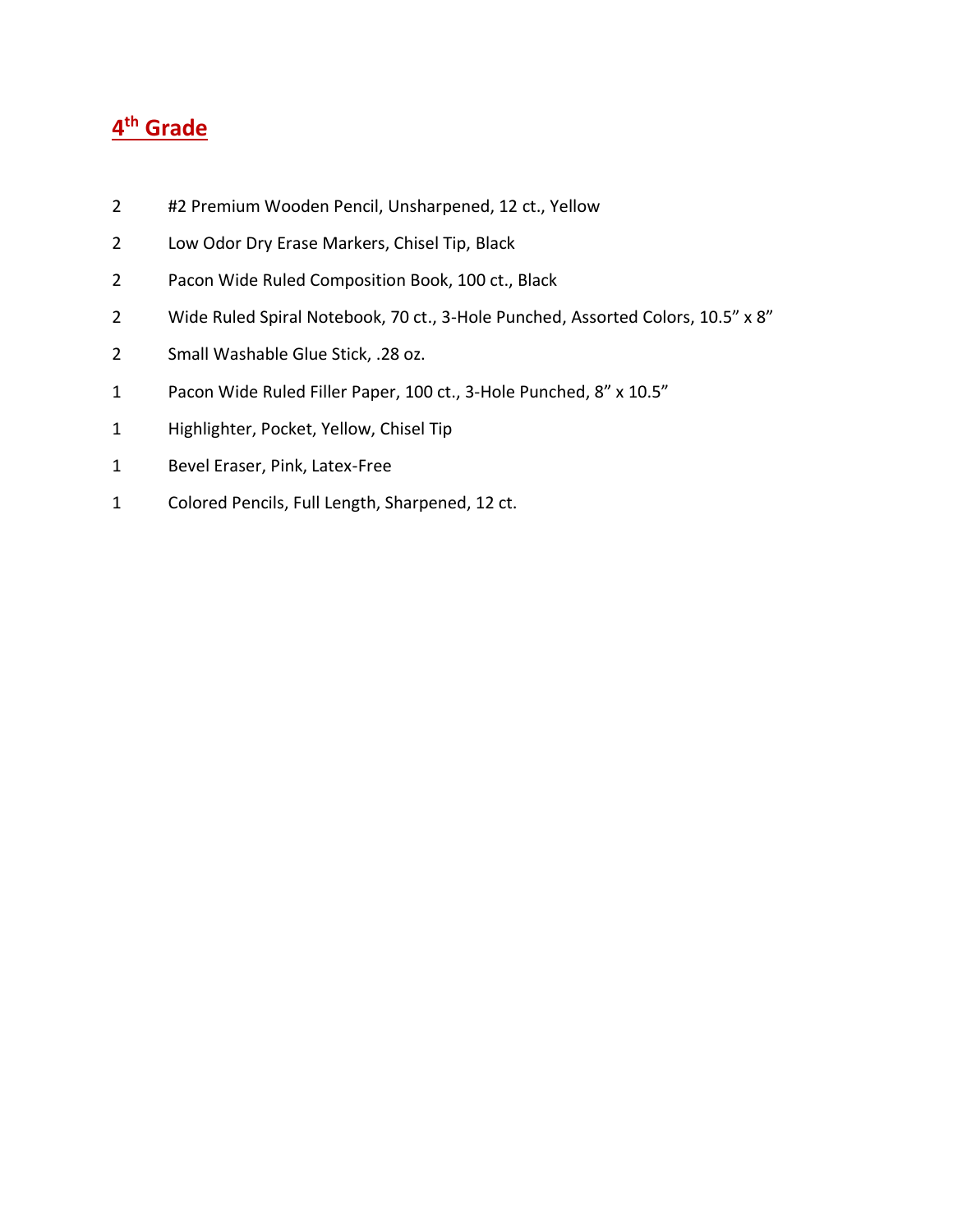- 2 #2 Premium Wooden Pencil, Unsharpened, 12 ct., Yellow
- Low Odor Dry Erase Markers, Chisel Tip, Black
- Pacon Wide Ruled Composition Book, 100 ct., Black
- 2 Wide Ruled Spiral Notebook, 70 ct., 3-Hole Punched, Assorted Colors, 10.5" x 8"
- Small Washable Glue Stick, .28 oz.
- Pacon Wide Ruled Filler Paper, 100 ct., 3-Hole Punched, 8" x 10.5"
- Highlighter, Pocket, Yellow, Chisel Tip
- Bevel Eraser, Pink, Latex-Free
- Colored Pencils, Full Length, Sharpened, 12 ct.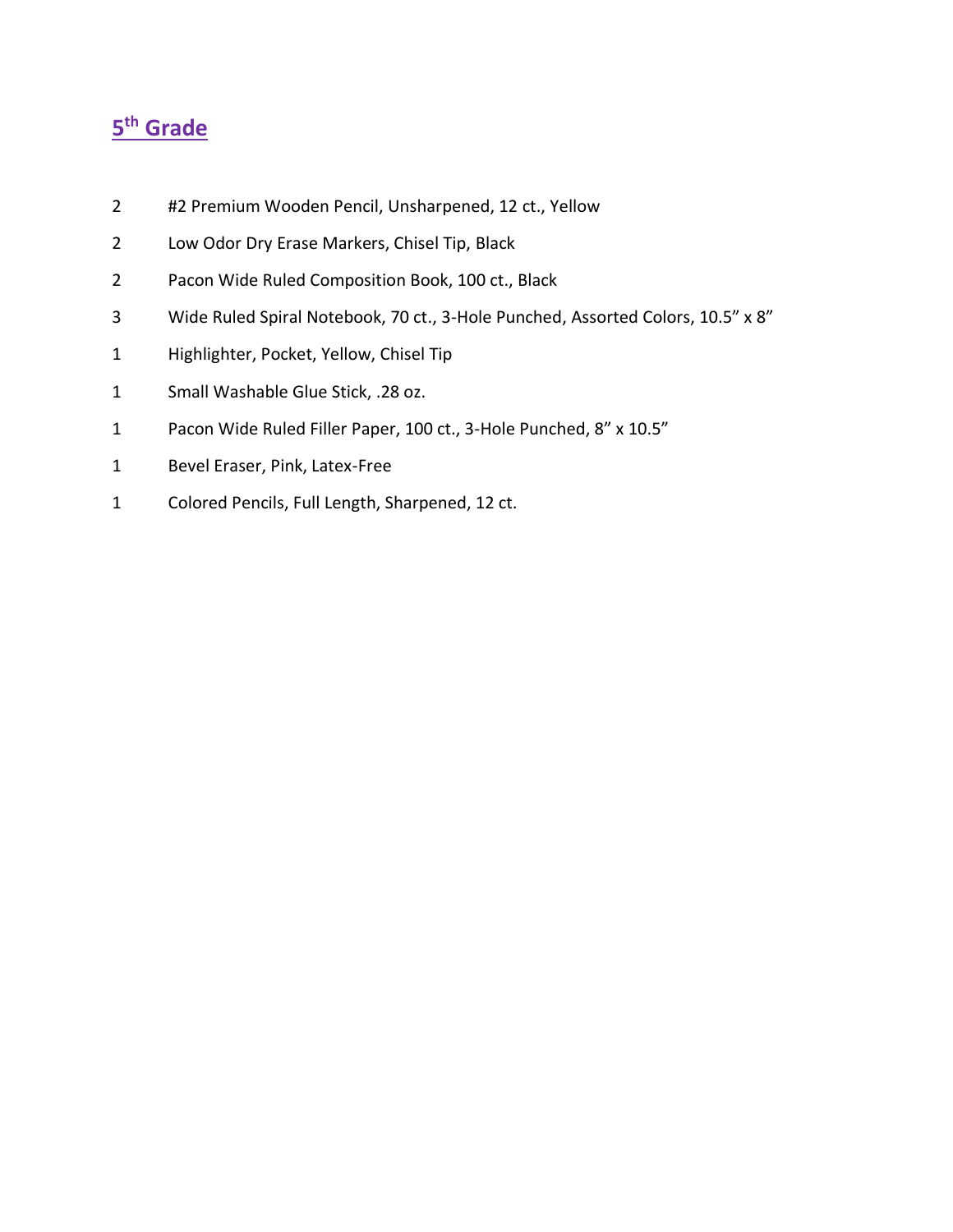- 2 #2 Premium Wooden Pencil, Unsharpened, 12 ct., Yellow
- Low Odor Dry Erase Markers, Chisel Tip, Black
- Pacon Wide Ruled Composition Book, 100 ct., Black
- Wide Ruled Spiral Notebook, 70 ct., 3-Hole Punched, Assorted Colors, 10.5" x 8"
- Highlighter, Pocket, Yellow, Chisel Tip
- Small Washable Glue Stick, .28 oz.
- Pacon Wide Ruled Filler Paper, 100 ct., 3-Hole Punched, 8" x 10.5"
- Bevel Eraser, Pink, Latex-Free
- Colored Pencils, Full Length, Sharpened, 12 ct.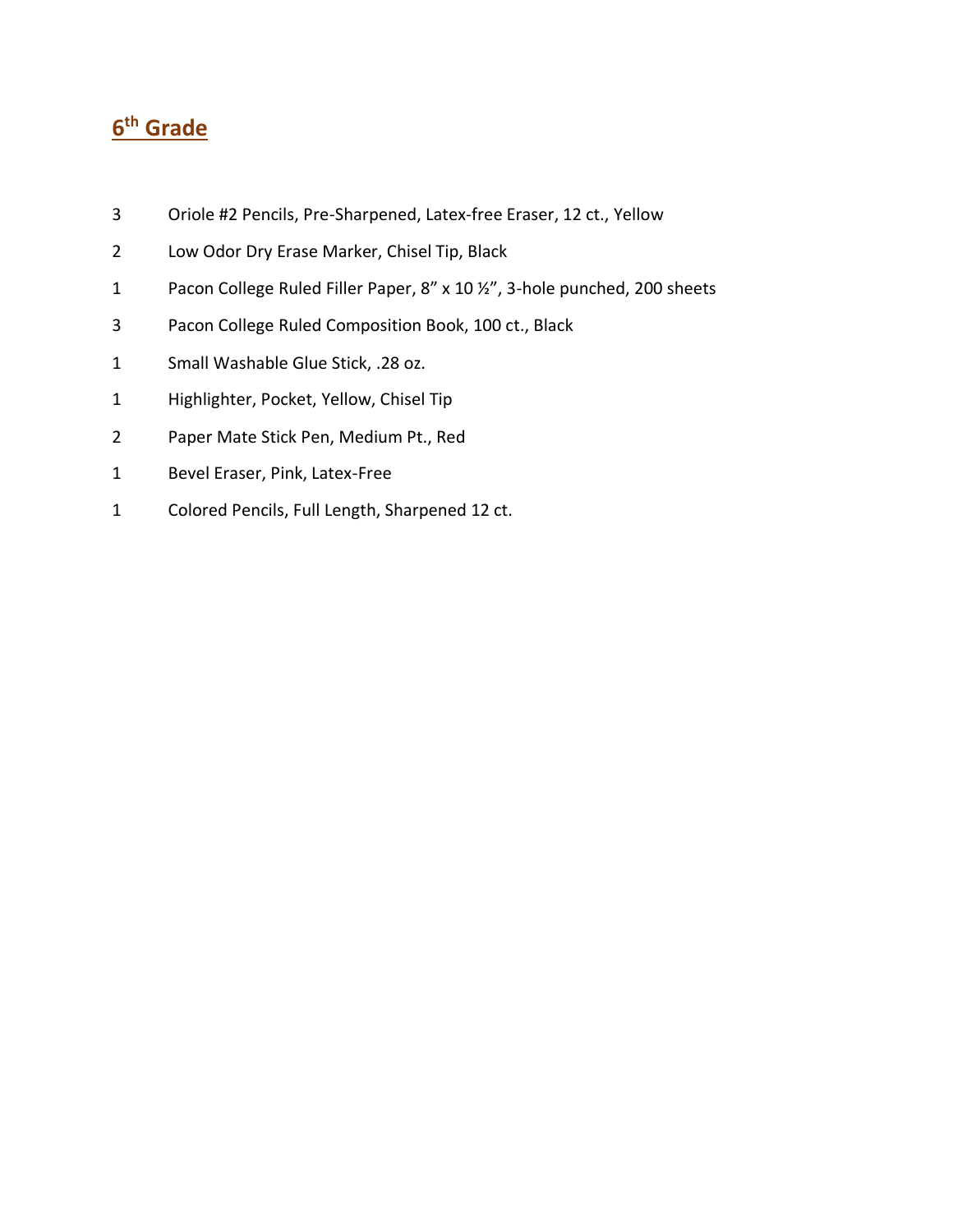- Oriole #2 Pencils, Pre-Sharpened, Latex-free Eraser, 12 ct., Yellow
- Low Odor Dry Erase Marker, Chisel Tip, Black
- Pacon College Ruled Filler Paper, 8" x 10 ½", 3-hole punched, 200 sheets
- Pacon College Ruled Composition Book, 100 ct., Black
- Small Washable Glue Stick, .28 oz.
- Highlighter, Pocket, Yellow, Chisel Tip
- Paper Mate Stick Pen, Medium Pt., Red
- Bevel Eraser, Pink, Latex-Free
- Colored Pencils, Full Length, Sharpened 12 ct.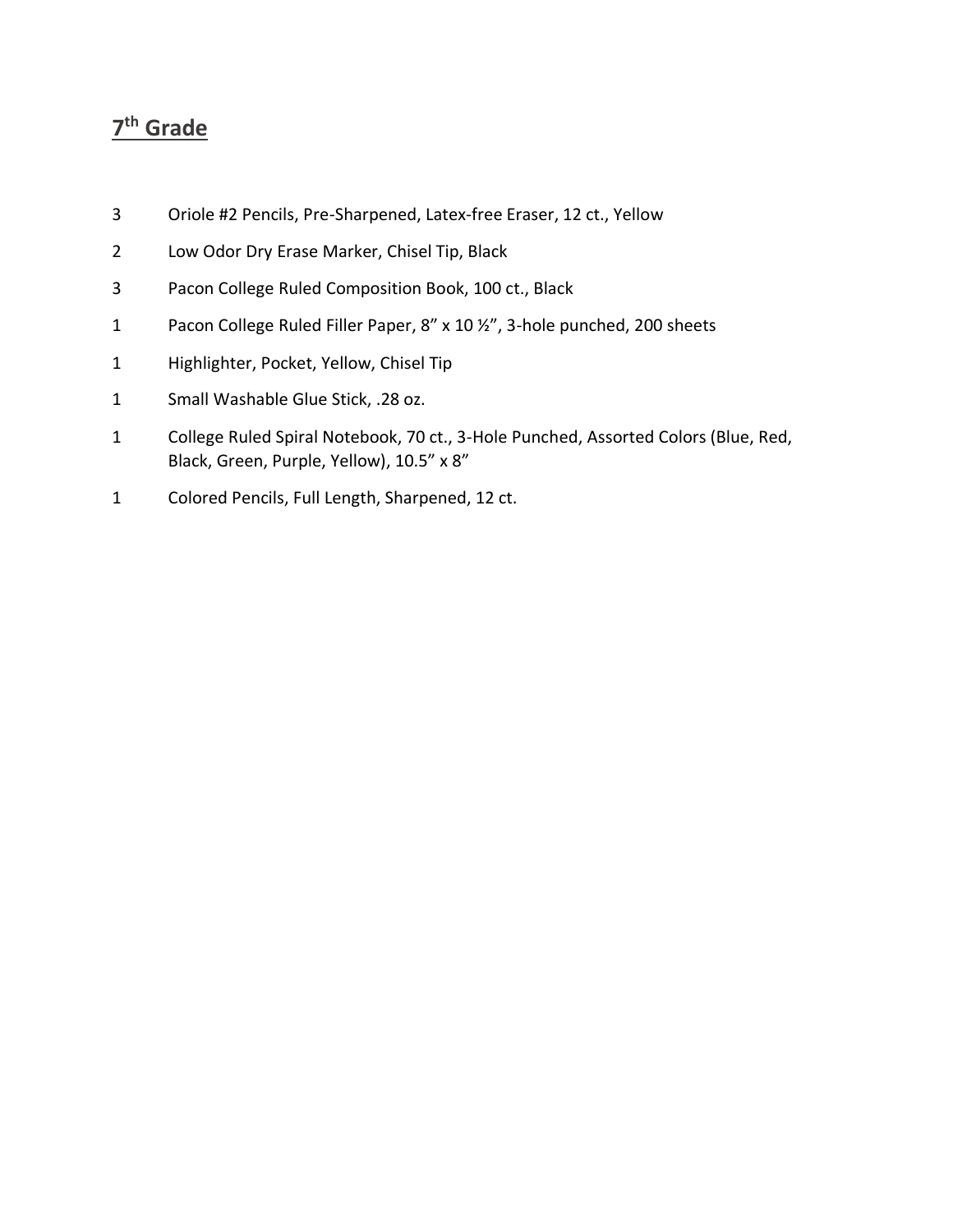- Oriole #2 Pencils, Pre-Sharpened, Latex-free Eraser, 12 ct., Yellow
- Low Odor Dry Erase Marker, Chisel Tip, Black
- Pacon College Ruled Composition Book, 100 ct., Black
- Pacon College Ruled Filler Paper, 8" x 10 ½", 3-hole punched, 200 sheets
- Highlighter, Pocket, Yellow, Chisel Tip
- Small Washable Glue Stick, .28 oz.
- College Ruled Spiral Notebook, 70 ct., 3-Hole Punched, Assorted Colors (Blue, Red, Black, Green, Purple, Yellow), 10.5" x 8"
- Colored Pencils, Full Length, Sharpened, 12 ct.